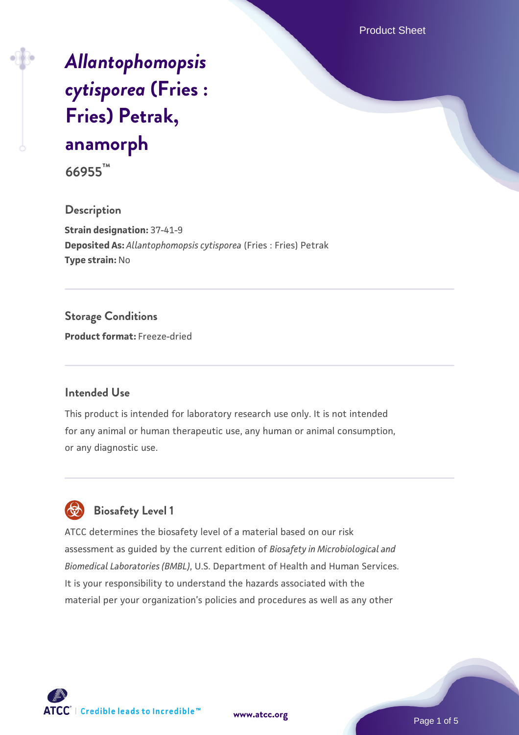Product Sheet

# *[Allantophomopsis](https://www.atcc.org/products/66955) [cytisporea](https://www.atcc.org/products/66955)* **[\(Fries :](https://www.atcc.org/products/66955) [Fries\) Petrak,](https://www.atcc.org/products/66955) [anamorph](https://www.atcc.org/products/66955)**

**66955™**

#### **Description**

**Strain designation:** 37-41-9 **Deposited As:** *Allantophomopsis cytisporea* (Fries : Fries) Petrak **Type strain:** No

### **Storage Conditions**

**Product format:** Freeze-dried

#### **Intended Use**

This product is intended for laboratory research use only. It is not intended for any animal or human therapeutic use, any human or animal consumption, or any diagnostic use.

# **Biosafety Level 1**

ATCC determines the biosafety level of a material based on our risk assessment as guided by the current edition of *Biosafety in Microbiological and Biomedical Laboratories (BMBL)*, U.S. Department of Health and Human Services. It is your responsibility to understand the hazards associated with the material per your organization's policies and procedures as well as any other



**[www.atcc.org](http://www.atcc.org)**

Page 1 of 5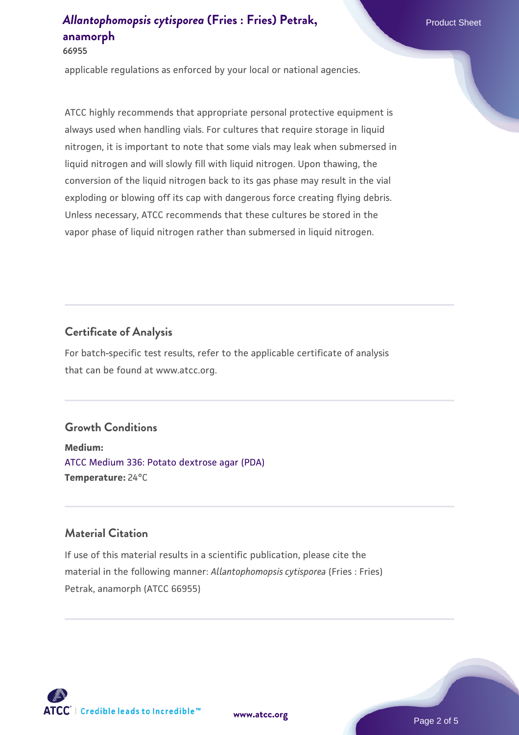**66955**

applicable regulations as enforced by your local or national agencies.

ATCC highly recommends that appropriate personal protective equipment is always used when handling vials. For cultures that require storage in liquid nitrogen, it is important to note that some vials may leak when submersed in liquid nitrogen and will slowly fill with liquid nitrogen. Upon thawing, the conversion of the liquid nitrogen back to its gas phase may result in the vial exploding or blowing off its cap with dangerous force creating flying debris. Unless necessary, ATCC recommends that these cultures be stored in the vapor phase of liquid nitrogen rather than submersed in liquid nitrogen.

### **Certificate of Analysis**

For batch-specific test results, refer to the applicable certificate of analysis that can be found at www.atcc.org.

### **Growth Conditions**

**Medium:**  [ATCC Medium 336: Potato dextrose agar \(PDA\)](https://www.atcc.org/-/media/product-assets/documents/microbial-media-formulations/3/3/6/atcc-medium-336.pdf?rev=d9160ad44d934cd8b65175461abbf3b9) **Temperature:** 24°C

### **Material Citation**

If use of this material results in a scientific publication, please cite the material in the following manner: *Allantophomopsis cytisporea* (Fries : Fries) Petrak, anamorph (ATCC 66955)

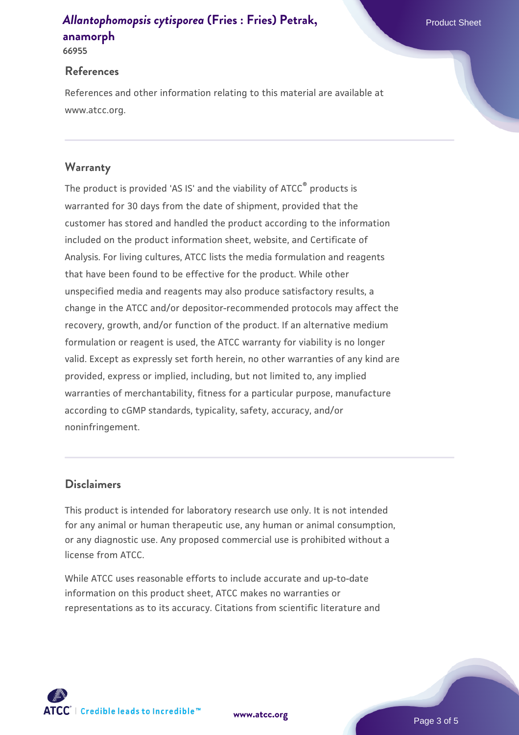**66955**

#### **References**

References and other information relating to this material are available at www.atcc.org.

### **Warranty**

The product is provided 'AS IS' and the viability of ATCC® products is warranted for 30 days from the date of shipment, provided that the customer has stored and handled the product according to the information included on the product information sheet, website, and Certificate of Analysis. For living cultures, ATCC lists the media formulation and reagents that have been found to be effective for the product. While other unspecified media and reagents may also produce satisfactory results, a change in the ATCC and/or depositor-recommended protocols may affect the recovery, growth, and/or function of the product. If an alternative medium formulation or reagent is used, the ATCC warranty for viability is no longer valid. Except as expressly set forth herein, no other warranties of any kind are provided, express or implied, including, but not limited to, any implied warranties of merchantability, fitness for a particular purpose, manufacture according to cGMP standards, typicality, safety, accuracy, and/or noninfringement.

#### **Disclaimers**

This product is intended for laboratory research use only. It is not intended for any animal or human therapeutic use, any human or animal consumption, or any diagnostic use. Any proposed commercial use is prohibited without a license from ATCC.

While ATCC uses reasonable efforts to include accurate and up-to-date information on this product sheet, ATCC makes no warranties or representations as to its accuracy. Citations from scientific literature and

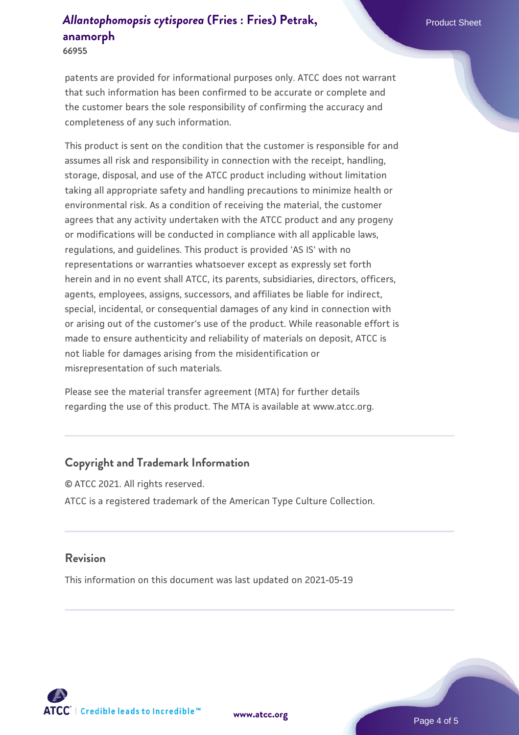**66955**

patents are provided for informational purposes only. ATCC does not warrant that such information has been confirmed to be accurate or complete and the customer bears the sole responsibility of confirming the accuracy and completeness of any such information.

This product is sent on the condition that the customer is responsible for and assumes all risk and responsibility in connection with the receipt, handling, storage, disposal, and use of the ATCC product including without limitation taking all appropriate safety and handling precautions to minimize health or environmental risk. As a condition of receiving the material, the customer agrees that any activity undertaken with the ATCC product and any progeny or modifications will be conducted in compliance with all applicable laws, regulations, and guidelines. This product is provided 'AS IS' with no representations or warranties whatsoever except as expressly set forth herein and in no event shall ATCC, its parents, subsidiaries, directors, officers, agents, employees, assigns, successors, and affiliates be liable for indirect, special, incidental, or consequential damages of any kind in connection with or arising out of the customer's use of the product. While reasonable effort is made to ensure authenticity and reliability of materials on deposit, ATCC is not liable for damages arising from the misidentification or misrepresentation of such materials.

Please see the material transfer agreement (MTA) for further details regarding the use of this product. The MTA is available at www.atcc.org.

### **Copyright and Trademark Information**

© ATCC 2021. All rights reserved. ATCC is a registered trademark of the American Type Culture Collection.

#### **Revision**

This information on this document was last updated on 2021-05-19



**[www.atcc.org](http://www.atcc.org)**

Page 4 of 5